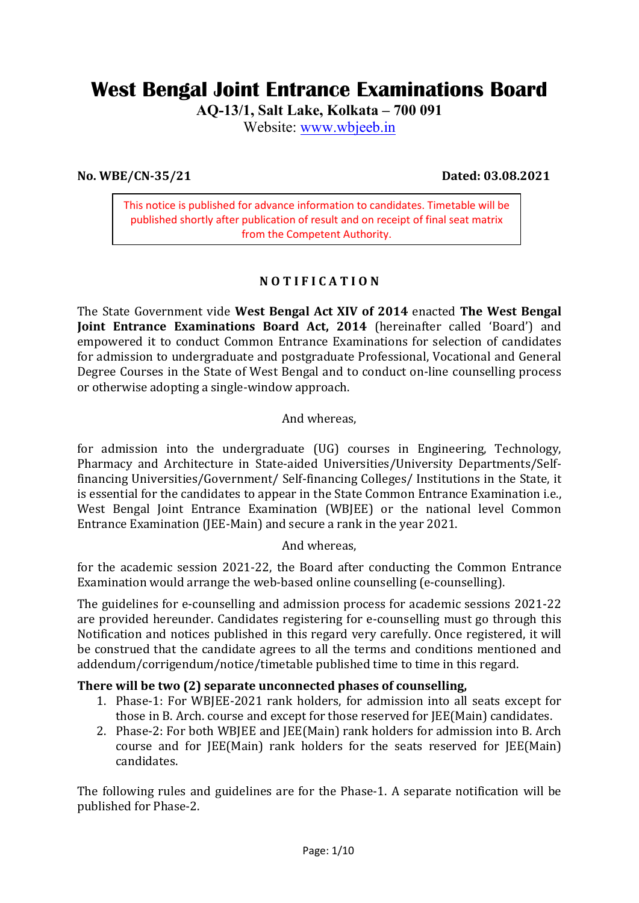# **West Bengal Joint Entrance Examinations Board**

**AQ-13/1, Salt Lake, Kolkata – 700 091** 

Website: www.wbjeeb.in

**No. WBE/CN-35/21 Dated: 03.08.2021** 

This notice is published for advance information to candidates. Timetable will be published shortly after publication of result and on receipt of final seat matrix from the Competent Authority.

# **N O T I F I C A T I O N**

The State Government vide **West Bengal Act XIV of 2014** enacted **The West Bengal Joint Entrance Examinations Board Act, 2014** (hereinafter called 'Board') and empowered it to conduct Common Entrance Examinations for selection of candidates for admission to undergraduate and postgraduate Professional, Vocational and General Degree Courses in the State of West Bengal and to conduct on-line counselling process or otherwise adopting a single-window approach.

And whereas,

for admission into the undergraduate (UG) courses in Engineering, Technology, Pharmacy and Architecture in State-aided Universities/University Departments/Selffinancing Universities/Government/ Self-financing Colleges/ Institutions in the State, it is essential for the candidates to appear in the State Common Entrance Examination i.e., West Bengal Joint Entrance Examination (WBJEE) or the national level Common Entrance Examination (JEE-Main) and secure a rank in the year 2021.

### And whereas,

for the academic session 2021-22, the Board after conducting the Common Entrance Examination would arrange the web-based online counselling (e-counselling).

The guidelines for e-counselling and admission process for academic sessions 2021-22 are provided hereunder. Candidates registering for e-counselling must go through this Notification and notices published in this regard very carefully. Once registered, it will be construed that the candidate agrees to all the terms and conditions mentioned and addendum/corrigendum/notice/timetable published time to time in this regard.

## **There will be two (2) separate unconnected phases of counselling,**

- 1. Phase-1: For WBJEE-2021 rank holders, for admission into all seats except for those in B. Arch. course and except for those reserved for JEE(Main) candidates.
- 2. Phase-2: For both WBJEE and JEE(Main) rank holders for admission into B. Arch course and for JEE(Main) rank holders for the seats reserved for JEE(Main) candidates.

The following rules and guidelines are for the Phase-1. A separate notification will be published for Phase-2.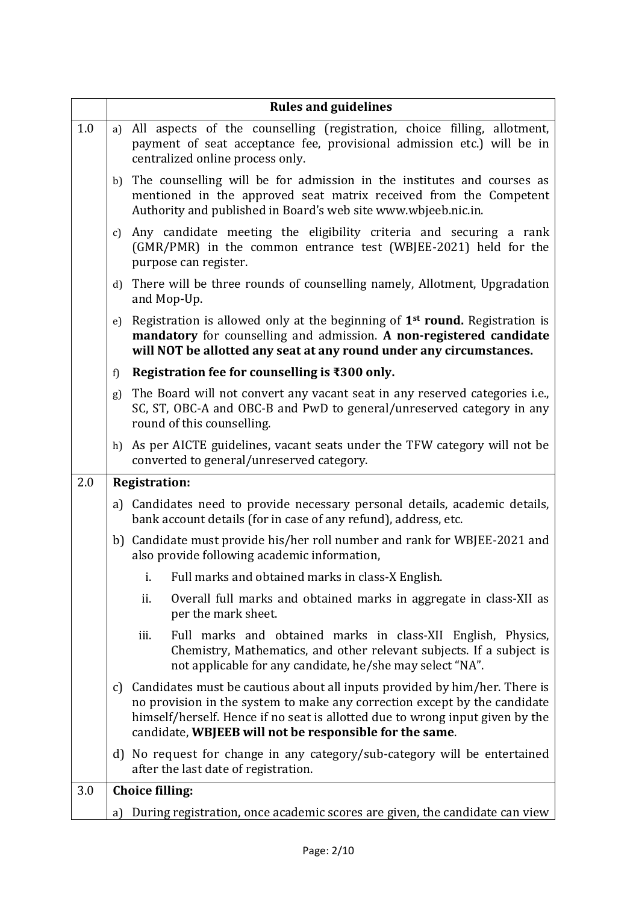|     |               | <b>Rules and guidelines</b>                                                                                                                                                                                                                                                                         |
|-----|---------------|-----------------------------------------------------------------------------------------------------------------------------------------------------------------------------------------------------------------------------------------------------------------------------------------------------|
| 1.0 | a)            | All aspects of the counselling (registration, choice filling, allotment,<br>payment of seat acceptance fee, provisional admission etc.) will be in<br>centralized online process only.                                                                                                              |
|     | b)            | The counselling will be for admission in the institutes and courses as<br>mentioned in the approved seat matrix received from the Competent<br>Authority and published in Board's web site www.wbjeeb.nic.in.                                                                                       |
|     | c)            | Any candidate meeting the eligibility criteria and securing a rank<br>(GMR/PMR) in the common entrance test (WBJEE-2021) held for the<br>purpose can register.                                                                                                                                      |
|     | $\mathbf{d}$  | There will be three rounds of counselling namely, Allotment, Upgradation<br>and Mop-Up.                                                                                                                                                                                                             |
|     | e)            | Registration is allowed only at the beginning of 1 <sup>st</sup> round. Registration is<br>mandatory for counselling and admission. A non-registered candidate<br>will NOT be allotted any seat at any round under any circumstances.                                                               |
|     | f)            | Registration fee for counselling is ₹300 only.                                                                                                                                                                                                                                                      |
|     | g)            | The Board will not convert any vacant seat in any reserved categories i.e.,<br>SC, ST, OBC-A and OBC-B and PwD to general/unreserved category in any<br>round of this counselling.                                                                                                                  |
|     |               | h) As per AICTE guidelines, vacant seats under the TFW category will not be<br>converted to general/unreserved category.                                                                                                                                                                            |
| 2.0 |               | <b>Registration:</b>                                                                                                                                                                                                                                                                                |
|     |               | a) Candidates need to provide necessary personal details, academic details,<br>bank account details (for in case of any refund), address, etc.                                                                                                                                                      |
|     |               | b) Candidate must provide his/her roll number and rank for WBJEE-2021 and<br>also provide following academic information,                                                                                                                                                                           |
|     |               | i. Full marks and obtained marks in class-X English.                                                                                                                                                                                                                                                |
|     |               | ii.<br>Overall full marks and obtained marks in aggregate in class-XII as<br>per the mark sheet.                                                                                                                                                                                                    |
|     |               | iii.<br>Full marks and obtained marks in class-XII English, Physics,<br>Chemistry, Mathematics, and other relevant subjects. If a subject is<br>not applicable for any candidate, he/she may select "NA".                                                                                           |
|     | $\mathcal{C}$ | Candidates must be cautious about all inputs provided by him/her. There is<br>no provision in the system to make any correction except by the candidate<br>himself/herself. Hence if no seat is allotted due to wrong input given by the<br>candidate, WBJEEB will not be responsible for the same. |
|     |               | d) No request for change in any category/sub-category will be entertained<br>after the last date of registration.                                                                                                                                                                                   |
| 3.0 |               | <b>Choice filling:</b>                                                                                                                                                                                                                                                                              |
|     | a)            | During registration, once academic scores are given, the candidate can view                                                                                                                                                                                                                         |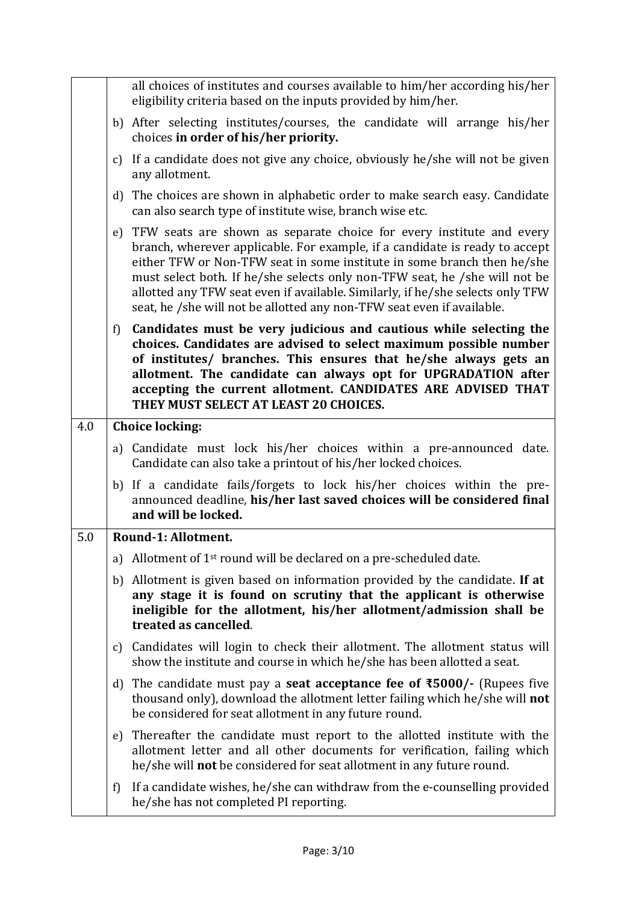|     |    | all choices of institutes and courses available to him/her according his/her<br>eligibility criteria based on the inputs provided by him/her.                                                                                                                                                                                                                                                                                                                               |
|-----|----|-----------------------------------------------------------------------------------------------------------------------------------------------------------------------------------------------------------------------------------------------------------------------------------------------------------------------------------------------------------------------------------------------------------------------------------------------------------------------------|
|     |    | b) After selecting institutes/courses, the candidate will arrange his/her<br>choices in order of his/her priority.                                                                                                                                                                                                                                                                                                                                                          |
|     | c) | If a candidate does not give any choice, obviously he/she will not be given<br>any allotment.                                                                                                                                                                                                                                                                                                                                                                               |
|     |    | d) The choices are shown in alphabetic order to make search easy. Candidate<br>can also search type of institute wise, branch wise etc.                                                                                                                                                                                                                                                                                                                                     |
|     |    | e) TFW seats are shown as separate choice for every institute and every<br>branch, wherever applicable. For example, if a candidate is ready to accept<br>either TFW or Non-TFW seat in some institute in some branch then he/she<br>must select both. If he/she selects only non-TFW seat, he /she will not be<br>allotted any TFW seat even if available. Similarly, if he/she selects only TFW<br>seat, he /she will not be allotted any non-TFW seat even if available. |
|     | f) | Candidates must be very judicious and cautious while selecting the<br>choices. Candidates are advised to select maximum possible number<br>of institutes/ branches. This ensures that he/she always gets an<br>allotment. The candidate can always opt for UPGRADATION after<br>accepting the current allotment. CANDIDATES ARE ADVISED THAT<br>THEY MUST SELECT AT LEAST 20 CHOICES.                                                                                       |
| 4.0 |    | <b>Choice locking:</b>                                                                                                                                                                                                                                                                                                                                                                                                                                                      |
|     |    | a) Candidate must lock his/her choices within a pre-announced date.<br>Candidate can also take a printout of his/her locked choices.                                                                                                                                                                                                                                                                                                                                        |
|     |    | b) If a candidate fails/forgets to lock his/her choices within the pre-<br>announced deadline, his/her last saved choices will be considered final<br>and will be locked.                                                                                                                                                                                                                                                                                                   |
| 5.0 |    | Round-1: Allotment.                                                                                                                                                                                                                                                                                                                                                                                                                                                         |
|     |    | a) Allotment of 1 <sup>st</sup> round will be declared on a pre-scheduled date.                                                                                                                                                                                                                                                                                                                                                                                             |
|     |    | b) Allotment is given based on information provided by the candidate. If at<br>any stage it is found on scrutiny that the applicant is otherwise<br>ineligible for the allotment, his/her allotment/admission shall be<br>treated as cancelled.                                                                                                                                                                                                                             |
|     | C) | Candidates will login to check their allotment. The allotment status will<br>show the institute and course in which he/she has been allotted a seat.                                                                                                                                                                                                                                                                                                                        |
|     | d) | The candidate must pay a <b>seat acceptance fee of <math>\overline{5000}</math></b> /- (Rupees five<br>thousand only), download the allotment letter failing which he/she will not<br>be considered for seat allotment in any future round.                                                                                                                                                                                                                                 |
|     | e) | Thereafter the candidate must report to the allotted institute with the<br>allotment letter and all other documents for verification, failing which<br>he/she will <b>not</b> be considered for seat allotment in any future round.                                                                                                                                                                                                                                         |
|     | f) | If a candidate wishes, he/she can withdraw from the e-counselling provided<br>he/she has not completed PI reporting.                                                                                                                                                                                                                                                                                                                                                        |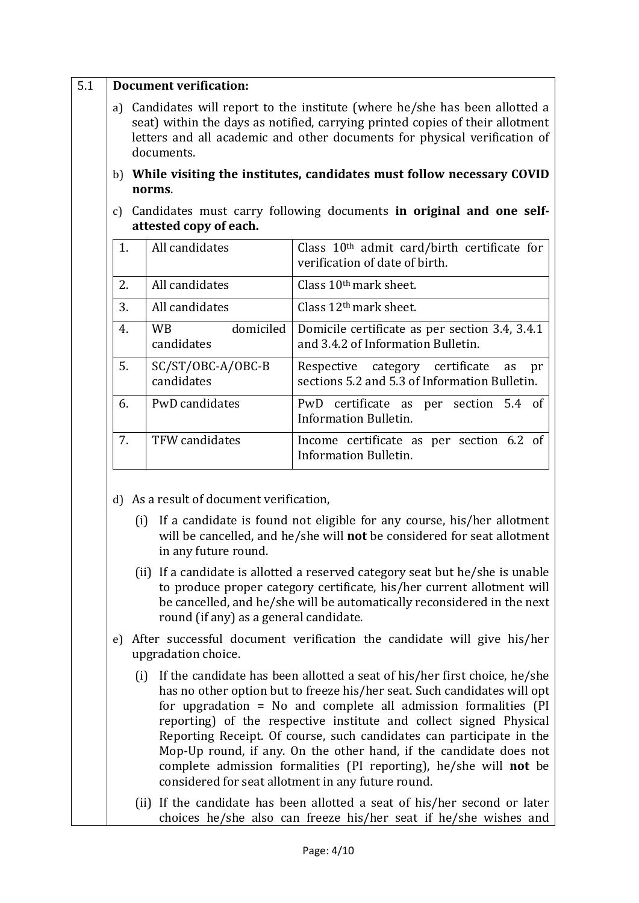|    | <b>Document verification:</b>                                    |                                                                                                                                                                                                                                                                                                       |
|----|------------------------------------------------------------------|-------------------------------------------------------------------------------------------------------------------------------------------------------------------------------------------------------------------------------------------------------------------------------------------------------|
| a) | documents.                                                       | Candidates will report to the institute (where he/she has been allotted a<br>seat) within the days as notified, carrying printed copies of their allotment<br>letters and all academic and other documents for physical verification of                                                               |
|    | norms.                                                           | b) While visiting the institutes, candidates must follow necessary COVID                                                                                                                                                                                                                              |
| c) | attested copy of each.                                           | Candidates must carry following documents in original and one self-                                                                                                                                                                                                                                   |
| 1. | All candidates                                                   | Class 10 <sup>th</sup> admit card/birth certificate for<br>verification of date of birth.                                                                                                                                                                                                             |
| 2. | All candidates                                                   | Class 10 <sup>th</sup> mark sheet.                                                                                                                                                                                                                                                                    |
| 3. | All candidates                                                   | Class $12th$ mark sheet.                                                                                                                                                                                                                                                                              |
| 4. | domiciled<br><b>WB</b><br>candidates                             | Domicile certificate as per section 3.4, 3.4.1<br>and 3.4.2 of Information Bulletin.                                                                                                                                                                                                                  |
| 5. | SC/ST/OBC-A/OBC-B<br>candidates                                  | Respective category certificate<br>as<br>pr<br>sections 5.2 and 5.3 of Information Bulletin.                                                                                                                                                                                                          |
| 6. | PwD candidates                                                   | PwD certificate as per section 5.4 of<br>Information Bulletin.                                                                                                                                                                                                                                        |
| 7. | TFW candidates                                                   | Income certificate as per section 6.2 of<br><b>Information Bulletin.</b>                                                                                                                                                                                                                              |
|    | d) As a result of document verification,<br>in any future round. | (i) If a candidate is found not eligible for any course, his/her allotment<br>will be cancelled, and he/she will not be considered for seat allotment                                                                                                                                                 |
|    | round (if any) as a general candidate.                           | (ii) If a candidate is allotted a reserved category seat but he/she is unable<br>to produce proper category certificate, his/her current allotment will<br>be cancelled, and he/she will be automatically reconsidered in the next                                                                    |
| e) | upgradation choice.                                              | After successful document verification the candidate will give his/her                                                                                                                                                                                                                                |
|    |                                                                  | (i) If the candidate has been allotted a seat of his/her first choice, he/she<br>has no other option but to freeze his/her seat. Such candidates will opt<br>for upgradation = No and complete all admission formalities $[PI]$<br>reporting) of the respective institute and collect signed Physical |

- Reporting Receipt. Of course, such candidates can participate in the Mop-Up round, if any. On the other hand, if the candidate does not complete admission formalities (PI reporting), he/she will **not** be considered for seat allotment in any future round.
- (ii) If the candidate has been allotted a seat of his/her second or later choices he/she also can freeze his/her seat if he/she wishes and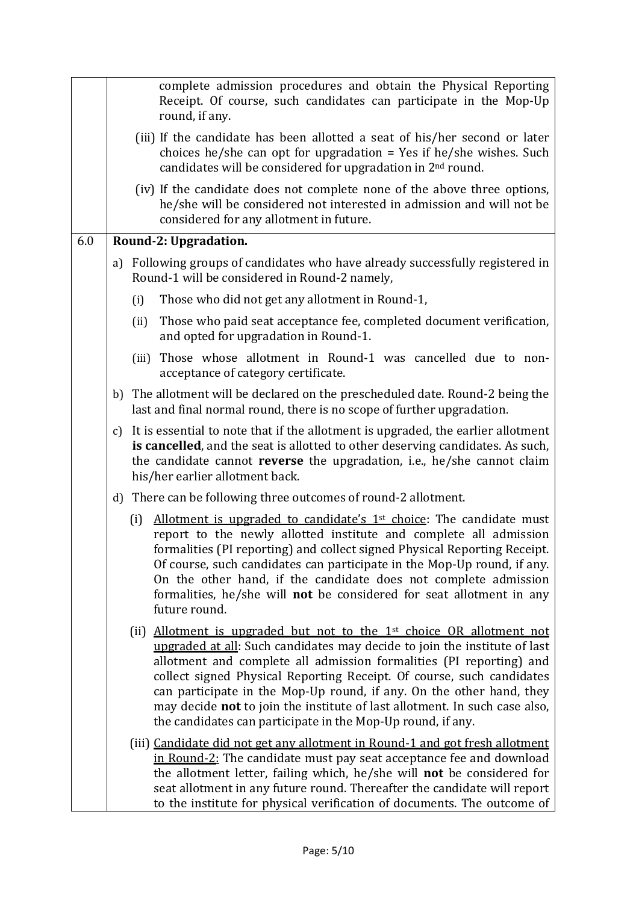|     |    | complete admission procedures and obtain the Physical Reporting                                                                                                                                                                                                                                                                                                                                                                                                                                                                               |
|-----|----|-----------------------------------------------------------------------------------------------------------------------------------------------------------------------------------------------------------------------------------------------------------------------------------------------------------------------------------------------------------------------------------------------------------------------------------------------------------------------------------------------------------------------------------------------|
|     |    | Receipt. Of course, such candidates can participate in the Mop-Up<br>round, if any.                                                                                                                                                                                                                                                                                                                                                                                                                                                           |
|     |    | (iii) If the candidate has been allotted a seat of his/her second or later<br>choices he/she can opt for upgradation = Yes if he/she wishes. Such<br>candidates will be considered for upgradation in 2 <sup>nd</sup> round.                                                                                                                                                                                                                                                                                                                  |
|     |    | (iv) If the candidate does not complete none of the above three options,<br>he/she will be considered not interested in admission and will not be<br>considered for any allotment in future.                                                                                                                                                                                                                                                                                                                                                  |
| 6.0 |    | Round-2: Upgradation.                                                                                                                                                                                                                                                                                                                                                                                                                                                                                                                         |
|     | a) | Following groups of candidates who have already successfully registered in<br>Round-1 will be considered in Round-2 namely,                                                                                                                                                                                                                                                                                                                                                                                                                   |
|     |    | Those who did not get any allotment in Round-1,<br>(i)                                                                                                                                                                                                                                                                                                                                                                                                                                                                                        |
|     |    | Those who paid seat acceptance fee, completed document verification,<br>(ii)<br>and opted for upgradation in Round-1.                                                                                                                                                                                                                                                                                                                                                                                                                         |
|     |    | (iii) Those whose allotment in Round-1 was cancelled due to non-<br>acceptance of category certificate.                                                                                                                                                                                                                                                                                                                                                                                                                                       |
|     |    | b) The allotment will be declared on the prescheduled date. Round-2 being the<br>last and final normal round, there is no scope of further upgradation.                                                                                                                                                                                                                                                                                                                                                                                       |
|     | c) | It is essential to note that if the allotment is upgraded, the earlier allotment<br>is cancelled, and the seat is allotted to other deserving candidates. As such,<br>the candidate cannot <b>reverse</b> the upgradation, i.e., he/she cannot claim<br>his/her earlier allotment back.                                                                                                                                                                                                                                                       |
|     |    | d) There can be following three outcomes of round-2 allotment.                                                                                                                                                                                                                                                                                                                                                                                                                                                                                |
|     |    | Allotment is upgraded to candidate's 1 <sup>st</sup> choice: The candidate must<br>(i)<br>report to the newly allotted institute and complete all admission<br>formalities (PI reporting) and collect signed Physical Reporting Receipt.<br>Of course, such candidates can participate in the Mop-Up round, if any.<br>On the other hand, if the candidate does not complete admission<br>formalities, he/she will not be considered for seat allotment in any<br>future round.                                                               |
|     |    | Allotment is upgraded but not to the 1 <sup>st</sup> choice OR allotment not<br>(ii)<br>upgraded at all: Such candidates may decide to join the institute of last<br>allotment and complete all admission formalities (PI reporting) and<br>collect signed Physical Reporting Receipt. Of course, such candidates<br>can participate in the Mop-Up round, if any. On the other hand, they<br>may decide <b>not</b> to join the institute of last allotment. In such case also,<br>the candidates can participate in the Mop-Up round, if any. |
|     |    | (iii) Candidate did not get any allotment in Round-1 and got fresh allotment<br>in Round-2: The candidate must pay seat acceptance fee and download<br>the allotment letter, failing which, he/she will not be considered for<br>seat allotment in any future round. Thereafter the candidate will report<br>to the institute for physical verification of documents. The outcome of                                                                                                                                                          |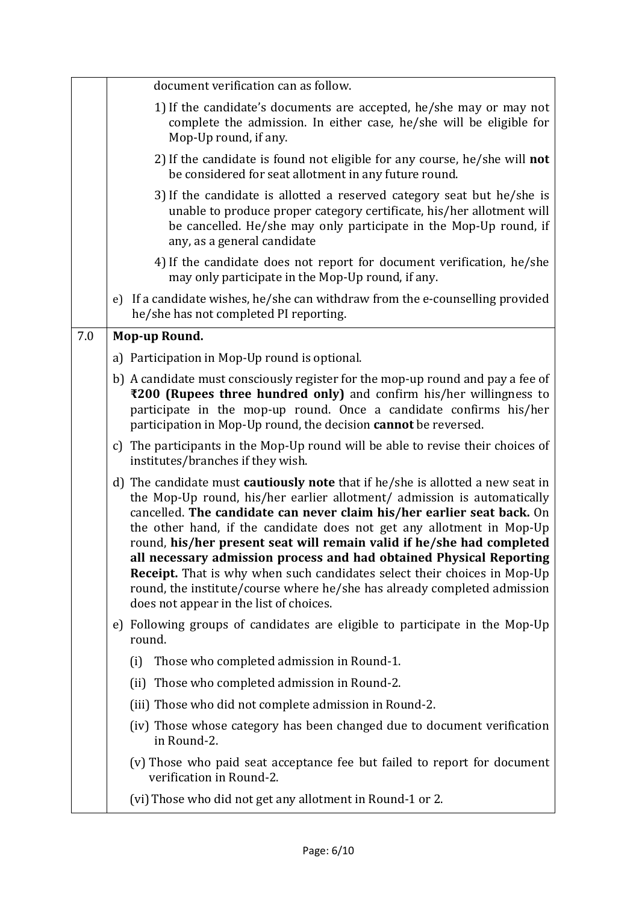|     | document verification can as follow.                                                                                                                                                                                                                                                                                                                                                                                                                                                                                                                                                                                                                                          |
|-----|-------------------------------------------------------------------------------------------------------------------------------------------------------------------------------------------------------------------------------------------------------------------------------------------------------------------------------------------------------------------------------------------------------------------------------------------------------------------------------------------------------------------------------------------------------------------------------------------------------------------------------------------------------------------------------|
|     | 1) If the candidate's documents are accepted, he/she may or may not<br>complete the admission. In either case, he/she will be eligible for<br>Mop-Up round, if any.                                                                                                                                                                                                                                                                                                                                                                                                                                                                                                           |
|     | 2) If the candidate is found not eligible for any course, he/she will not<br>be considered for seat allotment in any future round.                                                                                                                                                                                                                                                                                                                                                                                                                                                                                                                                            |
|     | 3) If the candidate is allotted a reserved category seat but he/she is<br>unable to produce proper category certificate, his/her allotment will<br>be cancelled. He/she may only participate in the Mop-Up round, if<br>any, as a general candidate                                                                                                                                                                                                                                                                                                                                                                                                                           |
|     | 4) If the candidate does not report for document verification, he/she<br>may only participate in the Mop-Up round, if any.                                                                                                                                                                                                                                                                                                                                                                                                                                                                                                                                                    |
|     | e) If a candidate wishes, he/she can withdraw from the e-counselling provided<br>he/she has not completed PI reporting.                                                                                                                                                                                                                                                                                                                                                                                                                                                                                                                                                       |
| 7.0 | Mop-up Round.                                                                                                                                                                                                                                                                                                                                                                                                                                                                                                                                                                                                                                                                 |
|     | a) Participation in Mop-Up round is optional.                                                                                                                                                                                                                                                                                                                                                                                                                                                                                                                                                                                                                                 |
|     | b) A candidate must consciously register for the mop-up round and pay a fee of<br>₹200 (Rupees three hundred only) and confirm his/her willingness to<br>participate in the mop-up round. Once a candidate confirms his/her<br>participation in Mop-Up round, the decision cannot be reversed.                                                                                                                                                                                                                                                                                                                                                                                |
|     | c) The participants in the Mop-Up round will be able to revise their choices of<br>institutes/branches if they wish.                                                                                                                                                                                                                                                                                                                                                                                                                                                                                                                                                          |
|     | d) The candidate must <b>cautiously note</b> that if he/she is allotted a new seat in<br>the Mop-Up round, his/her earlier allotment/ admission is automatically<br>cancelled. The candidate can never claim his/her earlier seat back. On<br>the other hand, if the candidate does not get any allotment in Mop-Up<br>round, his/her present seat will remain valid if he/she had completed<br>all necessary admission process and had obtained Physical Reporting<br><b>Receipt.</b> That is why when such candidates select their choices in Mop-Up<br>round, the institute/course where he/she has already completed admission<br>does not appear in the list of choices. |
|     | e) Following groups of candidates are eligible to participate in the Mop-Up<br>round.                                                                                                                                                                                                                                                                                                                                                                                                                                                                                                                                                                                         |
|     | Those who completed admission in Round-1.<br>(i)                                                                                                                                                                                                                                                                                                                                                                                                                                                                                                                                                                                                                              |
|     | (ii) Those who completed admission in Round-2.                                                                                                                                                                                                                                                                                                                                                                                                                                                                                                                                                                                                                                |
|     | (iii) Those who did not complete admission in Round-2.                                                                                                                                                                                                                                                                                                                                                                                                                                                                                                                                                                                                                        |
|     | (iv) Those whose category has been changed due to document verification<br>in Round-2.                                                                                                                                                                                                                                                                                                                                                                                                                                                                                                                                                                                        |
|     | (v) Those who paid seat acceptance fee but failed to report for document<br>verification in Round-2.                                                                                                                                                                                                                                                                                                                                                                                                                                                                                                                                                                          |
|     | (vi) Those who did not get any allotment in Round-1 or 2.                                                                                                                                                                                                                                                                                                                                                                                                                                                                                                                                                                                                                     |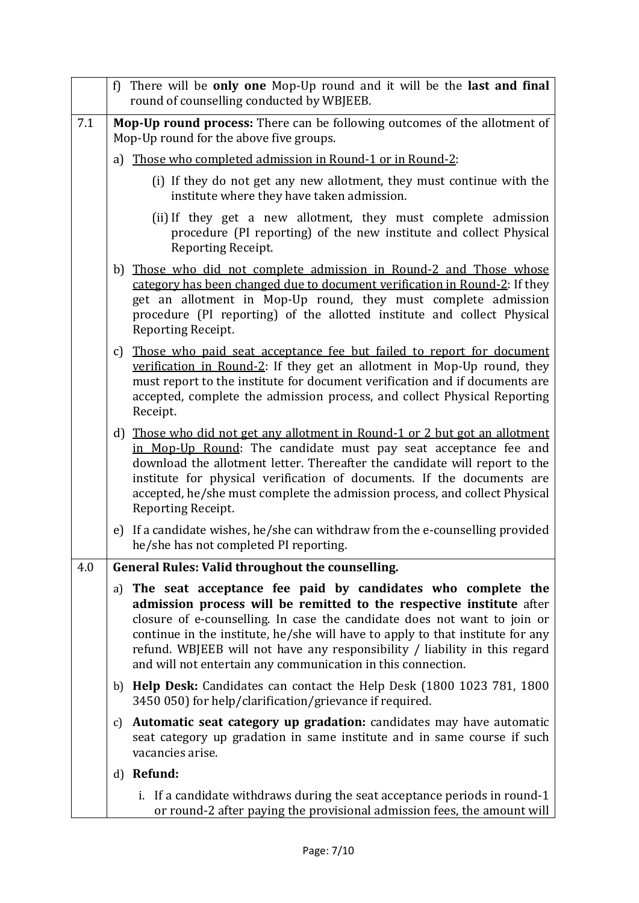|     | f) There will be only one Mop-Up round and it will be the last and final<br>round of counselling conducted by WBJEEB.                                                                                                                                                                                                                                                                                                                              |
|-----|----------------------------------------------------------------------------------------------------------------------------------------------------------------------------------------------------------------------------------------------------------------------------------------------------------------------------------------------------------------------------------------------------------------------------------------------------|
| 7.1 | Mop-Up round process: There can be following outcomes of the allotment of<br>Mop-Up round for the above five groups.                                                                                                                                                                                                                                                                                                                               |
|     | a) Those who completed admission in Round-1 or in Round-2:                                                                                                                                                                                                                                                                                                                                                                                         |
|     | (i) If they do not get any new allotment, they must continue with the<br>institute where they have taken admission.                                                                                                                                                                                                                                                                                                                                |
|     | (ii) If they get a new allotment, they must complete admission<br>procedure (PI reporting) of the new institute and collect Physical<br>Reporting Receipt.                                                                                                                                                                                                                                                                                         |
|     | b) Those who did not complete admission in Round-2 and Those whose<br>category has been changed due to document verification in Round-2: If they<br>get an allotment in Mop-Up round, they must complete admission<br>procedure (PI reporting) of the allotted institute and collect Physical<br>Reporting Receipt.                                                                                                                                |
|     | c) Those who paid seat acceptance fee but failed to report for document<br>verification in Round-2: If they get an allotment in Mop-Up round, they<br>must report to the institute for document verification and if documents are<br>accepted, complete the admission process, and collect Physical Reporting<br>Receipt.                                                                                                                          |
|     | d) Those who did not get any allotment in Round-1 or 2 but got an allotment<br>in Mop-Up Round: The candidate must pay seat acceptance fee and<br>download the allotment letter. Thereafter the candidate will report to the<br>institute for physical verification of documents. If the documents are<br>accepted, he/she must complete the admission process, and collect Physical<br>Reporting Receipt.                                         |
|     | e) If a candidate wishes, he/she can withdraw from the e-counselling provided<br>he/she has not completed PI reporting.                                                                                                                                                                                                                                                                                                                            |
| 4.0 | <b>General Rules: Valid throughout the counselling.</b>                                                                                                                                                                                                                                                                                                                                                                                            |
|     | a) The seat acceptance fee paid by candidates who complete the<br>admission process will be remitted to the respective institute after<br>closure of e-counselling. In case the candidate does not want to join or<br>continue in the institute, he/she will have to apply to that institute for any<br>refund. WBJEEB will not have any responsibility / liability in this regard<br>and will not entertain any communication in this connection. |
|     | b) Help Desk: Candidates can contact the Help Desk (1800 1023 781, 1800<br>3450 050) for help/clarification/grievance if required.                                                                                                                                                                                                                                                                                                                 |
|     | Automatic seat category up gradation: candidates may have automatic<br>c)<br>seat category up gradation in same institute and in same course if such<br>vacancies arise.                                                                                                                                                                                                                                                                           |
|     | d) Refund:                                                                                                                                                                                                                                                                                                                                                                                                                                         |
|     | i. If a candidate withdraws during the seat acceptance periods in round-1<br>or round-2 after paying the provisional admission fees, the amount will                                                                                                                                                                                                                                                                                               |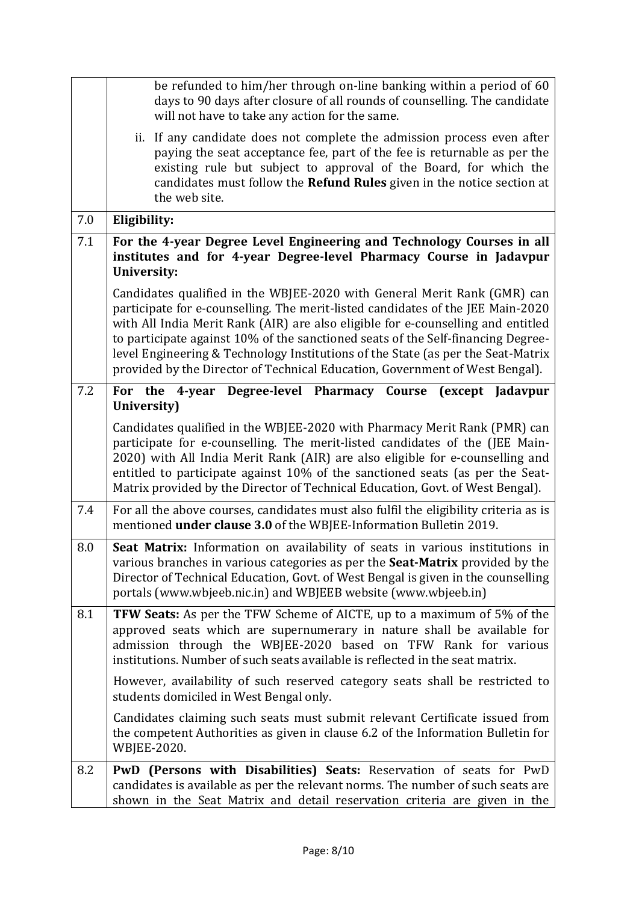|     | be refunded to him/her through on-line banking within a period of 60<br>days to 90 days after closure of all rounds of counselling. The candidate<br>will not have to take any action for the same.                                                                                                                                                                                                                                                                                                     |
|-----|---------------------------------------------------------------------------------------------------------------------------------------------------------------------------------------------------------------------------------------------------------------------------------------------------------------------------------------------------------------------------------------------------------------------------------------------------------------------------------------------------------|
|     | ii. If any candidate does not complete the admission process even after<br>paying the seat acceptance fee, part of the fee is returnable as per the<br>existing rule but subject to approval of the Board, for which the<br>candidates must follow the Refund Rules given in the notice section at<br>the web site.                                                                                                                                                                                     |
| 7.0 | Eligibility:                                                                                                                                                                                                                                                                                                                                                                                                                                                                                            |
| 7.1 | For the 4-year Degree Level Engineering and Technology Courses in all<br>institutes and for 4-year Degree-level Pharmacy Course in Jadavpur<br><b>University:</b>                                                                                                                                                                                                                                                                                                                                       |
|     | Candidates qualified in the WBJEE-2020 with General Merit Rank (GMR) can<br>participate for e-counselling. The merit-listed candidates of the JEE Main-2020<br>with All India Merit Rank (AIR) are also eligible for e-counselling and entitled<br>to participate against 10% of the sanctioned seats of the Self-financing Degree-<br>level Engineering & Technology Institutions of the State (as per the Seat-Matrix<br>provided by the Director of Technical Education, Government of West Bengal). |
| 7.2 | For the 4-year Degree-level Pharmacy Course<br>(except Jadavpur<br>University)                                                                                                                                                                                                                                                                                                                                                                                                                          |
|     | Candidates qualified in the WBJEE-2020 with Pharmacy Merit Rank (PMR) can<br>participate for e-counselling. The merit-listed candidates of the (JEE Main-<br>2020) with All India Merit Rank (AIR) are also eligible for e-counselling and<br>entitled to participate against 10% of the sanctioned seats (as per the Seat-<br>Matrix provided by the Director of Technical Education, Govt. of West Bengal).                                                                                           |
| 7.4 | For all the above courses, candidates must also fulfil the eligibility criteria as is<br>mentioned under clause 3.0 of the WBJEE-Information Bulletin 2019.                                                                                                                                                                                                                                                                                                                                             |
| 8.0 | Seat Matrix: Information on availability of seats in various institutions in<br>various branches in various categories as per the <b>Seat-Matrix</b> provided by the<br>Director of Technical Education, Govt. of West Bengal is given in the counselling<br>portals (www.wbjeeb.nic.in) and WBJEEB website (www.wbjeeb.in)                                                                                                                                                                             |
| 8.1 | <b>TFW Seats:</b> As per the TFW Scheme of AICTE, up to a maximum of 5% of the<br>approved seats which are supernumerary in nature shall be available for<br>admission through the WBJEE-2020 based on TFW Rank for various<br>institutions. Number of such seats available is reflected in the seat matrix.                                                                                                                                                                                            |
|     | However, availability of such reserved category seats shall be restricted to<br>students domiciled in West Bengal only.                                                                                                                                                                                                                                                                                                                                                                                 |
|     | Candidates claiming such seats must submit relevant Certificate issued from<br>the competent Authorities as given in clause 6.2 of the Information Bulletin for<br>WBJEE-2020.                                                                                                                                                                                                                                                                                                                          |
| 8.2 | PwD (Persons with Disabilities) Seats: Reservation of seats for PwD<br>candidates is available as per the relevant norms. The number of such seats are<br>shown in the Seat Matrix and detail reservation criteria are given in the                                                                                                                                                                                                                                                                     |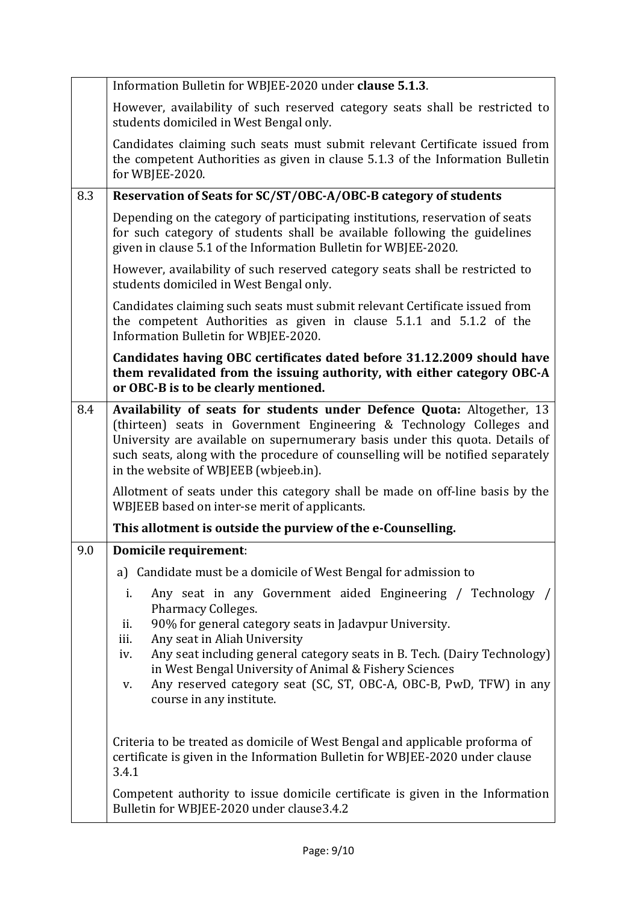|     | Information Bulletin for WBJEE-2020 under clause 5.1.3.                                                                                                                                                                                                                          |
|-----|----------------------------------------------------------------------------------------------------------------------------------------------------------------------------------------------------------------------------------------------------------------------------------|
|     | However, availability of such reserved category seats shall be restricted to<br>students domiciled in West Bengal only.                                                                                                                                                          |
|     | Candidates claiming such seats must submit relevant Certificate issued from<br>the competent Authorities as given in clause 5.1.3 of the Information Bulletin<br>for WBJEE-2020.                                                                                                 |
| 8.3 | Reservation of Seats for SC/ST/OBC-A/OBC-B category of students                                                                                                                                                                                                                  |
|     | Depending on the category of participating institutions, reservation of seats<br>for such category of students shall be available following the guidelines<br>given in clause 5.1 of the Information Bulletin for WBJEE-2020.                                                    |
|     | However, availability of such reserved category seats shall be restricted to<br>students domiciled in West Bengal only.                                                                                                                                                          |
|     | Candidates claiming such seats must submit relevant Certificate issued from<br>the competent Authorities as given in clause 5.1.1 and 5.1.2 of the<br>Information Bulletin for WBJEE-2020.                                                                                       |
|     | Candidates having OBC certificates dated before 31.12.2009 should have<br>them revalidated from the issuing authority, with either category OBC-A<br>or OBC-B is to be clearly mentioned.                                                                                        |
| 8.4 | Availability of seats for students under Defence Quota: Altogether, 13                                                                                                                                                                                                           |
|     | (thirteen) seats in Government Engineering & Technology Colleges and<br>University are available on supernumerary basis under this quota. Details of<br>such seats, along with the procedure of counselling will be notified separately<br>in the website of WBJEEB (wbjeeb.in). |
|     | Allotment of seats under this category shall be made on off-line basis by the<br>WBJEEB based on inter-se merit of applicants.                                                                                                                                                   |
|     | This allotment is outside the purview of the e-Counselling.                                                                                                                                                                                                                      |
| 9.0 | <b>Domicile requirement:</b>                                                                                                                                                                                                                                                     |
|     | a) Candidate must be a domicile of West Bengal for admission to                                                                                                                                                                                                                  |
|     | i.<br>Any seat in any Government aided Engineering / Technology<br>Pharmacy Colleges.<br>90% for general category seats in Jadavpur University.<br>ii.<br>Any seat in Aliah University<br>iii.                                                                                   |
|     | Any seat including general category seats in B. Tech. (Dairy Technology)<br>iv.<br>in West Bengal University of Animal & Fishery Sciences<br>Any reserved category seat (SC, ST, OBC-A, OBC-B, PwD, TFW) in any<br>V.                                                            |
|     | course in any institute.                                                                                                                                                                                                                                                         |
|     | Criteria to be treated as domicile of West Bengal and applicable proforma of<br>certificate is given in the Information Bulletin for WBJEE-2020 under clause<br>3.4.1                                                                                                            |
|     | Competent authority to issue domicile certificate is given in the Information<br>Bulletin for WBJEE-2020 under clause3.4.2                                                                                                                                                       |